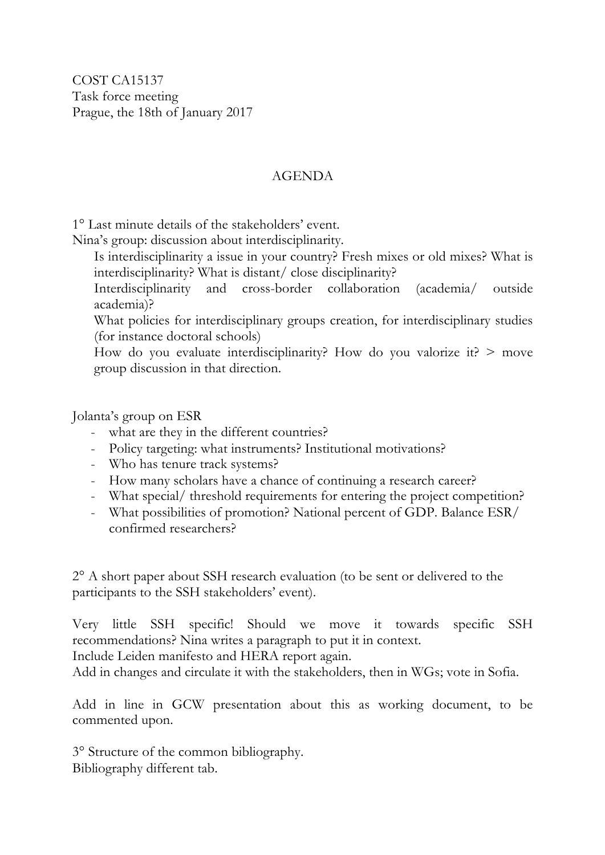## AGENDA

1° Last minute details of the stakeholders' event.

Nina's group: discussion about interdisciplinarity.

Is interdisciplinarity a issue in your country? Fresh mixes or old mixes? What is interdisciplinarity? What is distant/ close disciplinarity?

Interdisciplinarity and cross-border collaboration (academia/ outside academia)?

What policies for interdisciplinary groups creation, for interdisciplinary studies (for instance doctoral schools)

How do you evaluate interdisciplinarity? How do you valorize it?  $>$  move group discussion in that direction.

Jolanta's group on ESR

- what are they in the different countries?
- Policy targeting: what instruments? Institutional motivations?
- Who has tenure track systems?
- How many scholars have a chance of continuing a research career?
- What special/ threshold requirements for entering the project competition?
- What possibilities of promotion? National percent of GDP. Balance ESR/ confirmed researchers?

2° A short paper about SSH research evaluation (to be sent or delivered to the participants to the SSH stakeholders' event).

Very little SSH specific! Should we move it towards specific SSH recommendations? Nina writes a paragraph to put it in context.

Include Leiden manifesto and HERA report again.

Add in changes and circulate it with the stakeholders, then in WGs; vote in Sofia.

Add in line in GCW presentation about this as working document, to be commented upon.

3° Structure of the common bibliography. Bibliography different tab.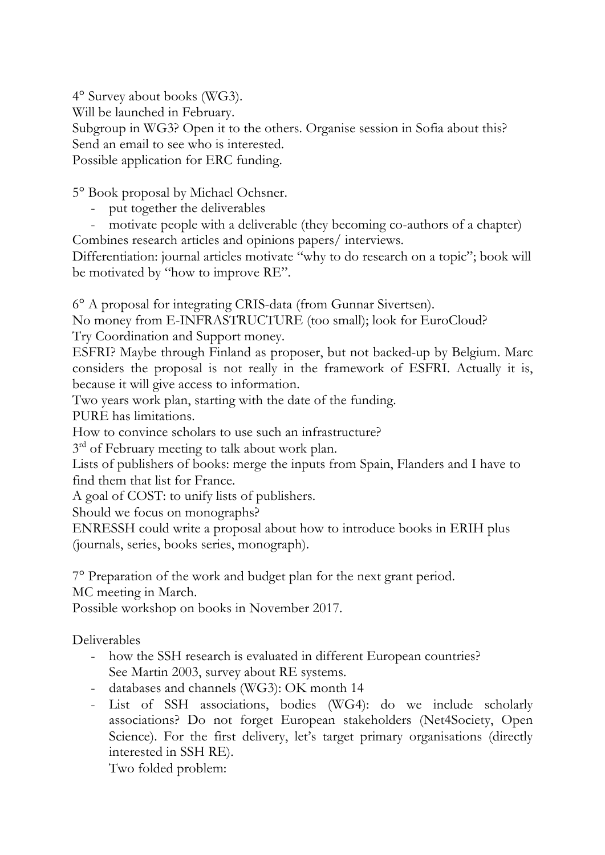4° Survey about books (WG3). Will be launched in February. Subgroup in WG3? Open it to the others. Organise session in Sofia about this? Send an email to see who is interested. Possible application for ERC funding.

5° Book proposal by Michael Ochsner.

- put together the deliverables
- motivate people with a deliverable (they becoming co-authors of a chapter) Combines research articles and opinions papers/ interviews.

Differentiation: journal articles motivate "why to do research on a topic"; book will be motivated by "how to improve RE".

6° A proposal for integrating CRIS-data (from Gunnar Sivertsen).

No money from E-INFRASTRUCTURE (too small); look for EuroCloud?

Try Coordination and Support money.

ESFRI? Maybe through Finland as proposer, but not backed-up by Belgium. Marc considers the proposal is not really in the framework of ESFRI. Actually it is, because it will give access to information.

Two years work plan, starting with the date of the funding.

PURE has limitations.

How to convince scholars to use such an infrastructure?

3<sup>rd</sup> of February meeting to talk about work plan.

Lists of publishers of books: merge the inputs from Spain, Flanders and I have to find them that list for France.

A goal of COST: to unify lists of publishers.

Should we focus on monographs?

ENRESSH could write a proposal about how to introduce books in ERIH plus (journals, series, books series, monograph).

7° Preparation of the work and budget plan for the next grant period.

MC meeting in March.

Possible workshop on books in November 2017.

Deliverables

- how the SSH research is evaluated in different European countries? See Martin 2003, survey about RE systems.
- databases and channels (WG3): OK month 14
- List of SSH associations, bodies (WG4): do we include scholarly associations? Do not forget European stakeholders (Net4Society, Open Science). For the first delivery, let's target primary organisations (directly interested in SSH RE).

Two folded problem: